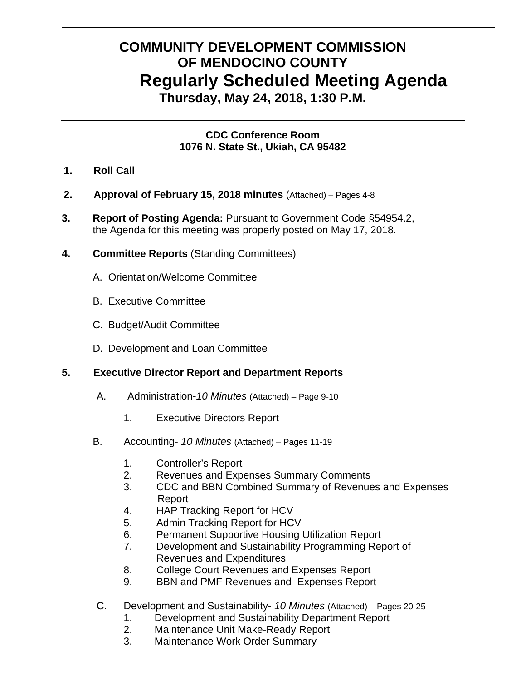# **COMMUNITY DEVELOPMENT COMMISSION OF MENDOCINO COUNTY Regularly Scheduled Meeting Agenda Thursday, May 24, 2018, 1:30 P.M.**

**CDC Conference Room 1076 N. State St., Ukiah, CA 95482** 

- **1. Roll Call**
- **2. Approval of February 15, 2018 minutes** (Attached) Pages 4-8
- **3. Report of Posting Agenda:** Pursuant to Government Code §54954.2, the Agenda for this meeting was properly posted on May 17, 2018.
- **4. Committee Reports** (Standing Committees)
	- A.Orientation/Welcome Committee
	- B. Executive Committee
	- C. Budget/Audit Committee
	- D. Development and Loan Committee

# **5. Executive Director Report and Department Reports**

- A. Administration-*10 Minutes* (Attached) Page 9-10
	- 1. Executive Directors Report
- B. Accounting- *10 Minutes* (Attached) Pages 11-19
	- 1. Controller's Report
	- 2. Revenues and Expenses Summary Comments
	- 3. CDC and BBN Combined Summary of Revenues and Expenses Report
	- 4. HAP Tracking Report for HCV
	- 5. Admin Tracking Report for HCV
	- 6. Permanent Supportive Housing Utilization Report
	- 7. Development and Sustainability Programming Report of Revenues and Expenditures
	- 8. College Court Revenues and Expenses Report
	- 9. BBN and PMF Revenues and Expenses Report
- C. Development and Sustainability- *10 Minutes* (Attached) Pages 20-25
	- 1. Development and Sustainability Department Report
	- 2. Maintenance Unit Make-Ready Report
	- 3. Maintenance Work Order Summary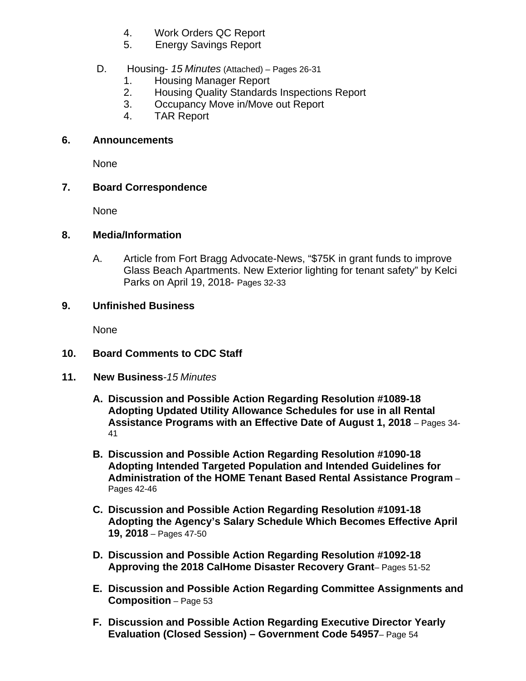- 4. Work Orders QC Report
- 5. Energy Savings Report

## D. Housing- *15 Minutes* (Attached) *–* Pages 26-31

- 1. Housing Manager Report
- 2. Housing Quality Standards Inspections Report
- 3. Occupancy Move in/Move out Report
- 4. TAR Report

#### **6. Announcements**

None

## **7. Board Correspondence**

None

#### **8. Media/Information**

A. Article from Fort Bragg Advocate-News, "\$75K in grant funds to improve Glass Beach Apartments. New Exterior lighting for tenant safety" by Kelci Parks on April 19, 2018- Pages 32-33

## **9. Unfinished Business**

None

# **10. Board Comments to CDC Staff**

- **11. New Business***-15 Minutes*
	- **A. Discussion and Possible Action Regarding Resolution #1089-18 Adopting Updated Utility Allowance Schedules for use in all Rental Assistance Programs with an Effective Date of August 1, 2018** – Pages 34- 41
	- **B. Discussion and Possible Action Regarding Resolution #1090-18 Adopting Intended Targeted Population and Intended Guidelines for Administration of the HOME Tenant Based Rental Assistance Program** – Pages 42-46
	- **C. Discussion and Possible Action Regarding Resolution #1091-18 Adopting the Agency's Salary Schedule Which Becomes Effective April 19, 2018** – Pages 47-50
	- **D. Discussion and Possible Action Regarding Resolution #1092-18 Approving the 2018 CalHome Disaster Recovery Grant**– Pages 51-52
	- **E. Discussion and Possible Action Regarding Committee Assignments and Composition** – Page 53
	- **F. Discussion and Possible Action Regarding Executive Director Yearly Evaluation (Closed Session) – Government Code 54957**– Page 54